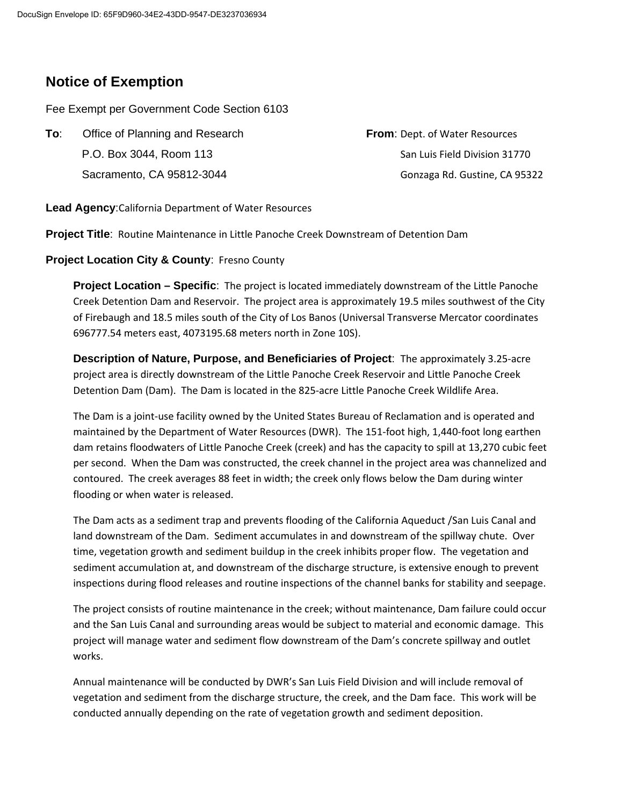# **Notice of Exemption**

Fee Exempt per Government Code Section 6103

**To:** Office of Planning and Research **From**: Dept. of Water Resources P.O. Box 3044, Room 113 CP.O. Box 3044, Room 113

Sacramento, CA 95812-3044 Gonzaga Rd. Gustine, CA 95322

**Lead Agency**:California Department of Water Resources

**Project Title**: Routine Maintenance in Little Panoche Creek Downstream of Detention Dam

### **Project Location City & County**: Fresno County

**Project Location – Specific**: The project is located immediately downstream of the Little Panoche Creek Detention Dam and Reservoir. The project area is approximately 19.5 miles southwest of the City of Firebaugh and 18.5 miles south of the City of Los Banos (Universal Transverse Mercator coordinates 696777.54 meters east, 4073195.68 meters north in Zone 10S).

**Description of Nature, Purpose, and Beneficiaries of Project**: The approximately 3.25-acre project area is directly downstream of the Little Panoche Creek Reservoir and Little Panoche Creek Detention Dam (Dam). The Dam is located in the 825-acre Little Panoche Creek Wildlife Area.

The Dam is a joint-use facility owned by the United States Bureau of Reclamation and is operated and maintained by the Department of Water Resources (DWR). The 151-foot high, 1,440-foot long earthen dam retains floodwaters of Little Panoche Creek (creek) and has the capacity to spill at 13,270 cubic feet per second. When the Dam was constructed, the creek channel in the project area was channelized and contoured. The creek averages 88 feet in width; the creek only flows below the Dam during winter flooding or when water is released.

The Dam acts as a sediment trap and prevents flooding of the California Aqueduct /San Luis Canal and land downstream of the Dam. Sediment accumulates in and downstream of the spillway chute. Over time, vegetation growth and sediment buildup in the creek inhibits proper flow. The vegetation and sediment accumulation at, and downstream of the discharge structure, is extensive enough to prevent inspections during flood releases and routine inspections of the channel banks for stability and seepage.

The project consists of routine maintenance in the creek; without maintenance, Dam failure could occur and the San Luis Canal and surrounding areas would be subject to material and economic damage. This project will manage water and sediment flow downstream of the Dam's concrete spillway and outlet works.

Annual maintenance will be conducted by DWR's San Luis Field Division and will include removal of vegetation and sediment from the discharge structure, the creek, and the Dam face. This work will be conducted annually depending on the rate of vegetation growth and sediment deposition.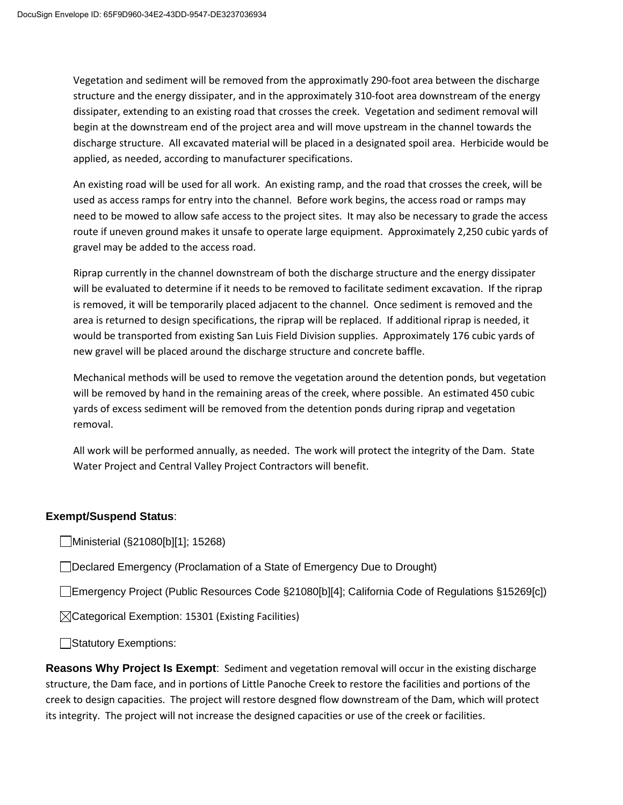Vegetation and sediment will be removed from the approximatly 290-foot area between the discharge structure and the energy dissipater, and in the approximately 310-foot area downstream of the energy dissipater, extending to an existing road that crosses the creek. Vegetation and sediment removal will begin at the downstream end of the project area and will move upstream in the channel towards the discharge structure. All excavated material will be placed in a designated spoil area. Herbicide would be applied, as needed, according to manufacturer specifications.

An existing road will be used for all work. An existing ramp, and the road that crosses the creek, will be used as access ramps for entry into the channel. Before work begins, the access road or ramps may need to be mowed to allow safe access to the project sites. It may also be necessary to grade the access route if uneven ground makes it unsafe to operate large equipment. Approximately 2,250 cubic yards of gravel may be added to the access road.

Riprap currently in the channel downstream of both the discharge structure and the energy dissipater will be evaluated to determine if it needs to be removed to facilitate sediment excavation. If the riprap is removed, it will be temporarily placed adjacent to the channel. Once sediment is removed and the area is returned to design specifications, the riprap will be replaced. If additional riprap is needed, it would be transported from existing San Luis Field Division supplies. Approximately 176 cubic yards of new gravel will be placed around the discharge structure and concrete baffle.

Mechanical methods will be used to remove the vegetation around the detention ponds, but vegetation will be removed by hand in the remaining areas of the creek, where possible. An estimated 450 cubic yards of excess sediment will be removed from the detention ponds during riprap and vegetation removal.

All work will be performed annually, as needed. The work will protect the integrity of the Dam. State Water Project and Central Valley Project Contractors will benefit.

### **Exempt/Suspend Status**:

Ministerial (§21080[b][1]; 15268)

Declared Emergency (Proclamation of a State of Emergency Due to Drought)

Emergency Project (Public Resources Code §21080[b][4]; California Code of Regulations §15269[c])

 $\boxtimes$ Categorical Exemption: 15301 (Existing Facilities)

Statutory Exemptions:

**Reasons Why Project Is Exempt**: Sediment and vegetation removal will occur in the existing discharge structure, the Dam face, and in portions of Little Panoche Creek to restore the facilities and portions of the creek to design capacities. The project will restore desgned flow downstream of the Dam, which will protect its integrity. The project will not increase the designed capacities or use of the creek or facilities.